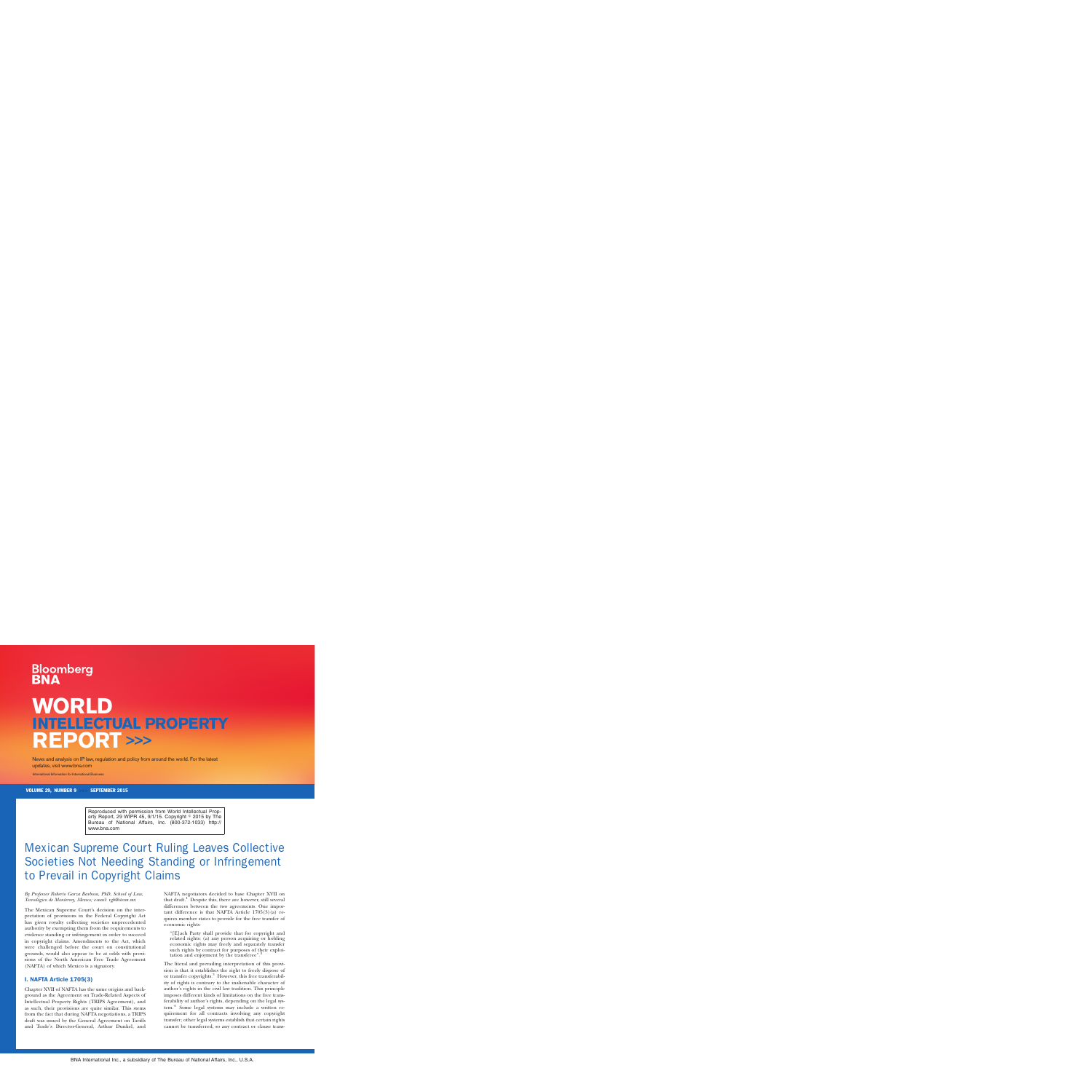# **Bloomberg**

## **WORLD INTELLECTUAL PROPERTY REPORT >>>**

News and analysis on IP law, regulation and policy from around the world. For the latest updates, visit www.bna.com

International Information for International Business

VOLUME 29, NUMBER 9 >>> SEPTEMBER 2015

Reproduced with permission from World Intellectual Property Report, 29 WIPR 45, 9/1/15. Copyright  $\textdegree$  2015 by The Bureau of National Affairs, Inc. (800-372-1033) http:// www.bna.com

### Mexican Supreme Court Ruling Leaves Collective Societies Not Needing Standing or Infringement to Prevail in Copyright Claims

*By Professor Roberto Garza Barbosa, PhD, School of Law, Tecnolo´gico de Monterrey, Mexico; e-mail: [rgb@itesm.mx](mailto:rgb@itesm.mx)*

The Mexican Supreme Court's decision on the interpretation of provisions in the Federal Copyright Act has given royalty collecting societies unprecedented authority by exempting them from the requirements to evidence standing or infringement in order to succeed in copyright claims. Amendments to the Act, which were challenged before the court on constitutional grounds, would also appear to be at odds with provisions of the North American Free Trade Agreement (NAFTA) of which Mexico is a signatory.

#### I. NAFTA Article 1705(3)

Chapter XVII of NAFTA has the same origins and background as the Agreement on Trade-Related Aspects of Intellectual Property Rights (TRIPS Agreement), and as such, their provisions are quite similar. This stems from the fact that during NAFTA negotiations, a TRIPS draft was issued by the General Agreement on Tariffs and Trade's Director-General, Arthur Dunkel, and

NAFTA negotiators decided to base Chapter XVII on that draft. $1$  Despite this, there are however, still several differences between the two agreements. One important difference is that NAFTA Article  $1705(3)(a)$  requires member states to provide for the free transfer of economic rights:

''[E]ach Party shall provide that for copyright and related rights: (a) any person acquiring or holding economic rights may freely and separately transfer such rights by contract for purposes of their exploitation and enjoyment by the transferee''.2

The literal and prevailing interpretation of this provision is that it establishes the right to freely dispose of or transfer copyrights.<sup>3</sup> However, this free transferability of rights is contrary to the inalienable character of author's rights in the civil law tradition. This principle imposes different kinds of limitations on the free transferability of author's rights, depending on the legal system.<sup>4</sup> Some legal systems may include a written requirement for all contracts involving any copyright transfer; other legal systems establish that certain rights cannot be transferred, so any contract or clause trans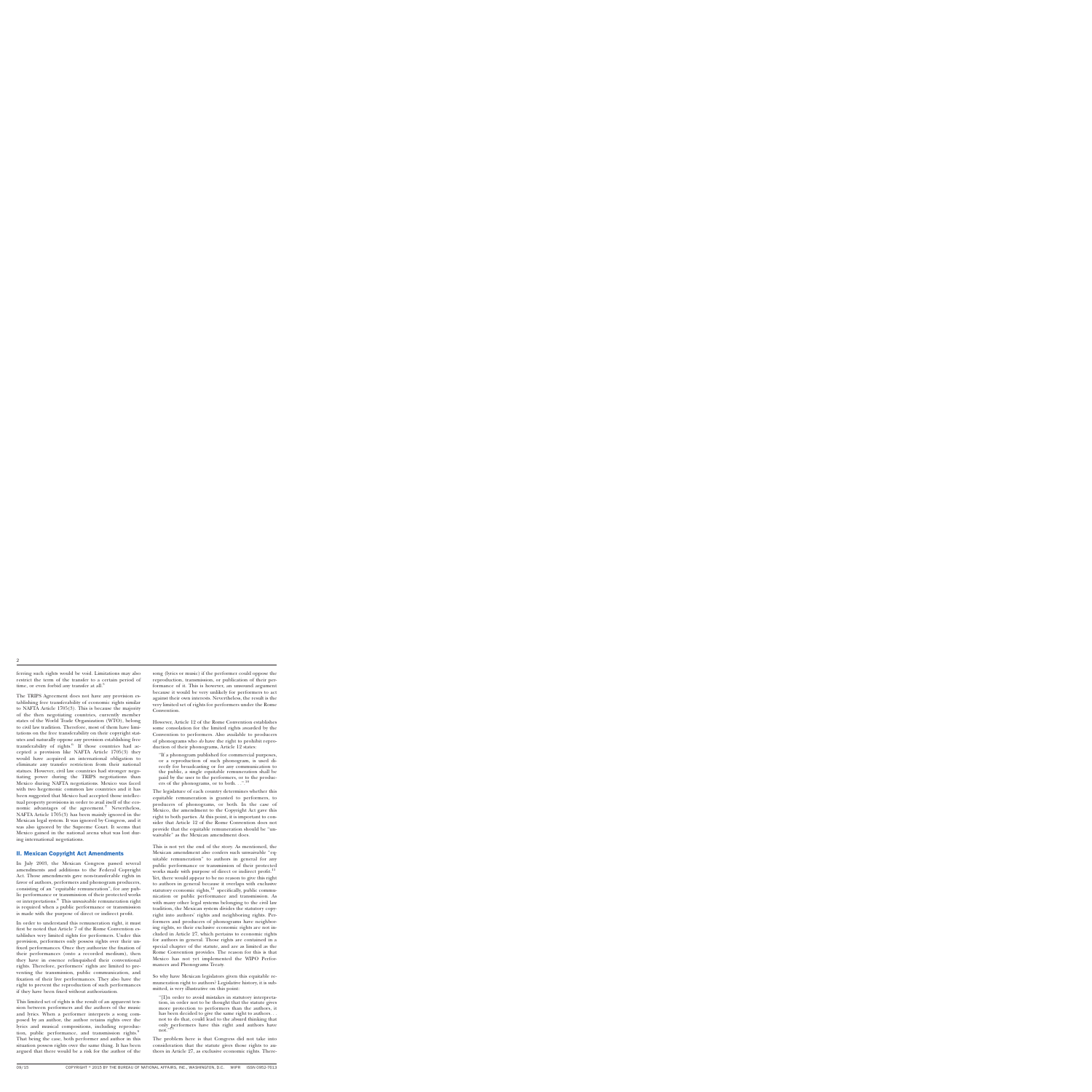ferring such rights would be void. Limitations may also restrict the term of the transfer to a certain period of time, or even forbid any transfer at all.<sup>5</sup>

The TRIPS Agreement does not have any provision establishing free transferability of economic rights similar to NAFTA Article 1705(3). This is because the majority of the then negotiating countries, currently member states of the World Trade Organization (WTO), belong to civil law tradition. Therefore, most of them have limitations on the free transferability on their copyright statutes and naturally oppose any provision establishing free transferability of rights. $6$  If those countries had accepted a provision like NAFTA Article 1705(3) they would have acquired an international obligation to eliminate any transfer restriction from their national statues. However, civil law countries had stronger negotiating power during the TRIPS negotiations than Mexico during NAFTA negotiations. Mexico was faced with two hegemonic common law countries and it has been suggested that Mexico had accepted those intellectual property provisions in order to avail itself of the economic advantages of the agreement.<sup>7</sup> Nevertheless, NAFTA Article 1705(3) has been mainly ignored in the Mexican legal system. It was ignored by Congress, and it was also ignored by the Supreme Court. It seems that Mexico gained in the national arena what was lost during international negotiations.

#### II. Mexican Copyright Act Amendments

In July 2003, the Mexican Congress passed several amendments and additions to the Federal Copyright Act. Those amendments gave non-transferable rights in favor of authors, performers and phonogram producers, consisting of an ''equitable remuneration'', for any public performance or transmission of their protected works or interpretations.<sup>8</sup> This unwaivable remuneration right is required when a public performance or transmission is made with the purpose of direct or indirect profit.

In order to understand this remuneration right, it must first be noted that Article 7 of the Rome Convention establishes very limited rights for performers. Under this provision, performers only possess rights over their unfixed performances. Once they authorize the fixation of their performances (onto a recorded medium), then they have in essence relinquished their conventional rights. Therefore, performers' rights are limited to preventing the transmission, public communication, and fixation of their live performances. They also have the right to prevent the reproduction of such performances if they have been fixed without authorization.

This limited set of rights is the result of an apparent tension between performers and the authors of the music and lyrics. When a performer interprets a song composed by an author, the author retains rights over the lyrics and musical compositions, including reproduction, public performance, and transmission rights.<sup>9</sup> That being the case, both performer and author in this situation possess rights over the same thing. It has been argued that there would be a risk for the author of the

song (lyrics or music) if the performer could oppose the reproduction, transmission, or publication of their performance of it. This is however, an unsound argument because it would be very unlikely for performers to act against their own interests. Nevertheless, the result is the very limited set of rights for performers under the Rome Convention.

However, Article 12 of the Rome Convention establishes some consolation for the limited rights awarded by the Convention to performers. Also available to producers of phonograms who *do* have the right to prohibit reproduction of their phonograms, Article 12 states:

''If a phonogram published for commercial purposes, or a reproduction of such phonogram, is used directly for broadcasting or for any communication to the public, a single equitable remuneration shall be paid by the user to the performers, or to the producers of the phonograms, or to both. . .".<sup>10</sup>

The legislature of each country determines whether this equitable remuneration is granted to performers, to producers of phonograms, or both. In the case of Mexico, the amendment to the Copyright Act gave this right to both parties. At this point, it is important to consider that Article 12 of the Rome Convention does not provide that the equitable remuneration should be ''unwaivable'' as the Mexican amendment does.

This is not yet the end of the story. As mentioned, the Mexican amendment also confers such unwaivable ''equitable remuneration'' to authors in general for any public performance or transmission of their protected works made with purpose of direct or indirect profit.<sup>11</sup> Yet, there would appear to be no reason to give this right to authors in general because it overlaps with exclusive statutory economic rights, $12$  specifically, public communication or public performance and transmission. As with many other legal systems belonging to the civil law tradition, the Mexican system divides the statutory copyright into authors' rights and neighboring rights. Performers and producers of phonograms have neighboring rights, so their exclusive economic rights are not included in Article 27, which pertains to economic rights for authors in general. Those rights are contained in a special chapter of the statute, and are as limited as the Rome Convention provides. The reason for this is that Mexico has not yet implemented the WIPO Performances and Phonograms Treaty.

So why have Mexican legislators given this equitable remuneration right to authors? Legislative history, it is submitted, is very illustrative on this point:

''[I]n order to avoid mistakes in statutory interpretation, in order not to be thought that the statute gives more protection to performers than the authors, it has been decided to give the same right to authors. . . not to do that, could lead to the absurd thinking that only performers have this right and authors have not." $13$ 

The problem here is that Congress did not take into consideration that the statute gives those rights to authors in Article 27, as exclusive economic rights. There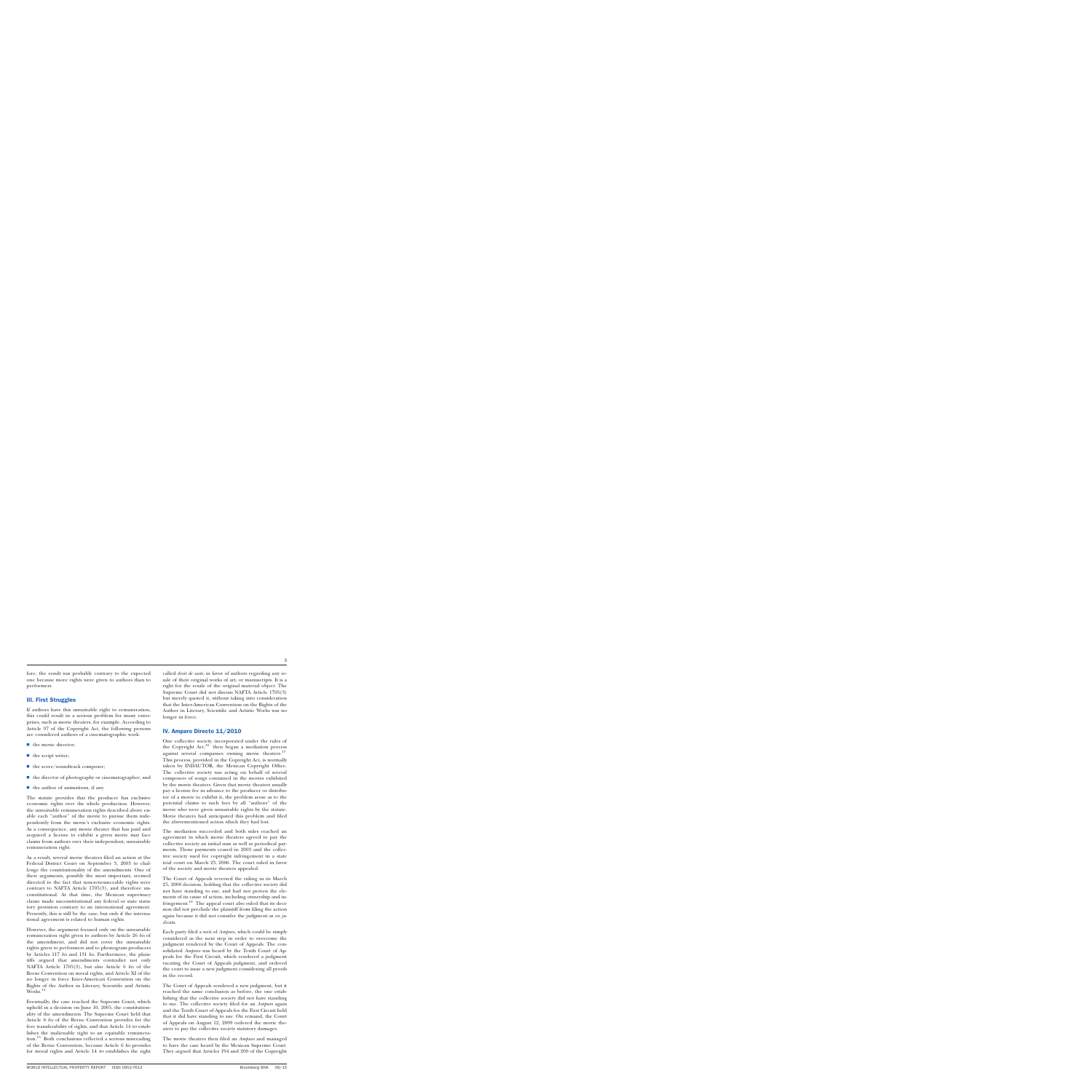fore, the result was probably contrary to the expected one because more rights were given to authors than to performers.

#### III. First Struggles

If authors have this unwaivable right to remuneration, this could result in a serious problem for many enterprises, such as movie theaters, for example. According to Article 97 of the Copyright Act, the following persons are considered authors of a cinematographic work:

- $\blacksquare$  the movie director;
- $\blacksquare$  the script writer;
- $\blacksquare$  the score/soundtrack composer;
- $\blacksquare$  the director of photography or cinematographer; and
- $\blacksquare$  the author of animations, if any.

The statute provides that the producer has exclusive economic rights over the whole production. However, the unwaivable remuneration rights described above enable each "author" of the movie to pursue them independently from the movie's exclusive economic rights. As a consequence, any movie theater that has paid and acquired a license to exhibit a given movie may face claims from authors over their independent, unwaivable remuneration right.

As a result, several movie theaters filed an action at the Federal District Court on September 3, 2003 to challenge the constitutionality of the amendments. One of their arguments, possibly the most important, seemed directed to the fact that non-renounceable rights were contrary to NAFTA Article 1705(3), and therefore unconstitutional. At that time, the Mexican supremacy clause made unconstitutional any federal or state statutory provision contrary to an international agreement. Presently, this is still be the case, but only if the international agreement is related to human rights.

However, the argument focused only on the unwaivable remuneration right given to authors by Article 26 *bis* of the amendment, and did not cover the unwaivable rights given to performers and to phonogram producers by Articles 117 *bis* and 131 *bis*. Furthermore, the plaintiffs argued that amendments contradict not only NAFTA Article 1705(3), but also Article 6 *bis* of the Berne Convention on moral rights, and Article XI of the no longer in force Inter-American Convention on the Rights of the Author in Literary, Scientific and Artistic Works.<sup>14</sup>

Eventually, the case reached the Supreme Court, which upheld in a decision on June 10, 2005, the constitutionality of the amendments. The Supreme Court held that Article 6 *bis* of the Berne Convention provides for the free transferability of rights, and that Article 14 *ter* establishes the inalienable right to an equitable remuneration.<sup>15</sup> Both conclusions reflected a serious misreading of the Berne Convention, because Article 6 *bis* provides for moral rights and Article 14 *ter* establishes the right called *droit de suite*, in favor of authors regarding any resale of their original works of art, or manuscripts. It is a right for the resale of the original material object. The Supreme Court did not discuss NAFTA Article 1705(3) but merely quoted it, without taking into consideration that the Inter-American Convention on the Rights of the Author in Literary, Scientific and Artistic Works was no longer in force.

#### IV. Amparo Directo 11/2010

One collective society, incorporated under the rules of the Copyright  $Act,^{16}$  then began a mediation process against several companies owning movie theaters.<sup>17</sup> This process, provided in the Copyright Act, is normally taken by INDAUTOR, the Mexican Copyright Office. The collective society was acting on behalf of several composers of songs contained in the movies exhibited by the movie theaters. Given that movie theaters usually pay a license fee in advance to the producer or distributor of a movie to exhibit it, the problem arose as to the potential claims to such fees by all ''authors'' of the movie who were given unwaivable rights by the statute. Movie theaters had anticipated this problem and filed the abovementioned action which they had lost.

The mediation succeeded and both sides reached an agreement in which movie theaters agreed to pay the collective society an initial sum as well as periodical payments. Those payments ceased in 2003 and the collective society sued for copyright infringement in a state trial court on March 23, 2006. The court ruled in favor of the society and movie theaters appealed.

The Court of Appeals reversed the ruling in its March 25, 2008 decision, holding that the collective society did not have standing to sue, and had not proven the elements of its cause of action, including ownership and infringement.<sup>18</sup> The appeal court also ruled that its decision did not preclude the plaintiff from filing the action again because it did not consider the judgment as *res judicata*.

Each party filed a writ of *Amparo*, which could be simply considered as the next step in order to overcome the judgment rendered by the Court of Appeals. The consolidated *Amparo* was heard by the Tenth Court of Appeals for the First Circuit, which rendered a judgment vacating the Court of Appeals judgment, and ordered the court to issue a new judgment considering all proofs in the record.

The Court of Appeals rendered a new judgment, but it reached the same conclusion as before, the one establishing that the collective society did not have standing to sue. The collective society filed for an *Amparo* again and the Tenth Court of Appeals for the First Circuit held that it did have standing to sue. On remand, the Court of Appeals on August 12, 2009 ordered the movie theaters to pay the collective society statutory damages.

The movie theaters then filed an *Amparo* and managed to have the case heard by the Mexican Supreme Court. They argued that Articles 194 and 200 of the Copyright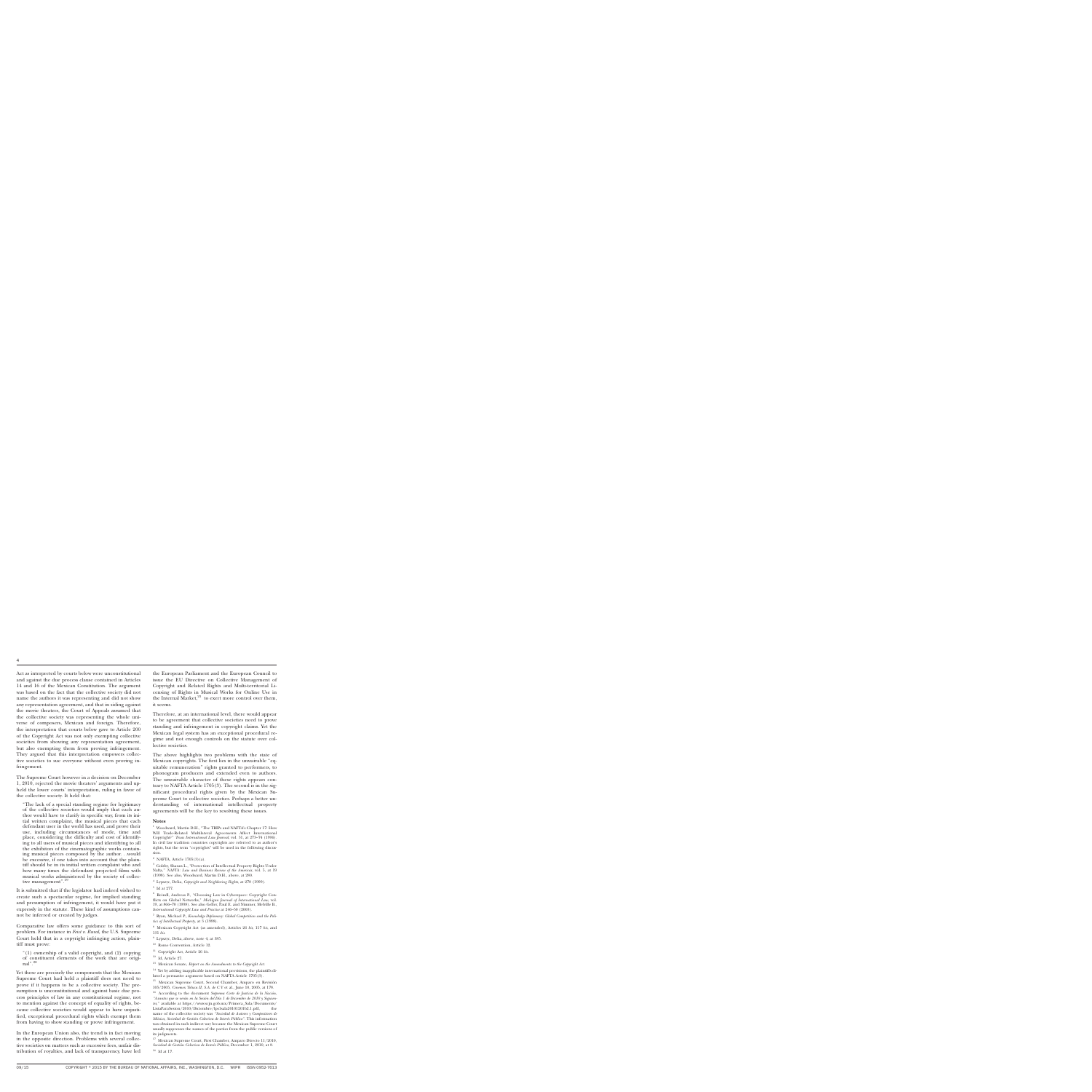Act as interpreted by courts below were unconstitutional and against the due process clause contained in Articles 14 and 16 of the Mexican Constitution. The argument was based on the fact that the collective society did not name the authors it was representing and did not show any representation agreement, and that in siding against the movie theaters, the Court of Appeals assumed that the collective society was representing the whole universe of composers, Mexican and foreign. Therefore, the interpretation that courts below gave to Article 200 of the Copyright Act was not only exempting collective societies from showing any representation agreement, but also exempting them from proving infringement. They argued that this interpretation empowers collective societies to sue everyone without even proving infringement.

The Supreme Court however in a decision on December 1, 2010, rejected the movie theaters' arguments and upheld the lower courts' interpretation, ruling in favor of the collective society. It held that:

''The lack of a special standing regime for legitimacy of the collective societies would imply that each author would have to clarify in specific way, from its initial written complaint, the musical pieces that each defendant user in the world has used, and prove their use, including circumstances of mode, time and place, considering the difficulty and cost of identifying to all users of musical pieces and identifying to all the exhibitors of the cinematographic works containing musical pieces composed by the author. . .would be excessive, if one takes into account that the plaintiff should be in its initial written complaint who and how many times the defendant projected films with musical works administered by the society of collective management".<sup>19</sup>

It is submitted that if the legislator had indeed wished to create such a spectacular regime, for implied standing and presumption of infringement, it would have put it expressly in the statute. These kind of assumptions cannot be inferred or created by judges.

Comparative law offers some guidance to this sort of problem. For instance in *Feist v. Rural*, the U.S. Supreme Court held that in a copyright infringing action, plaintiff must prove:

"(1) ownership of a valid copyright, and  $(2)$  copying of constituent elements of the work that are original".<sup>20</sup>

Yet these are precisely the components that the Mexican Supreme Court had held a plaintiff does not need to prove if it happens to be a collective society. The presumption is unconstitutional and against basic due process principles of law in any constitutional regime, not to mention against the concept of equality of rights, because collective societies would appear to have unjustified, exceptional procedural rights which exempt them from having to show standing or prove infringement.

In the European Union also, the trend is in fact moving in the opposite direction. Problems with several collective societies on matters such as excessive fees, unfair distribution of royalties, and lack of transparency, have led the European Parliament and the European Council to issue the EU Directive on Collective Management of Copyright and Related Rights and Multi-territorial Licensing of Rights in Musical Works for Online Use in the Internal Market, $21$  to exert more control over them, it seems.

Therefore, at an international level, there would appear to be agreement that collective societies need to prove standing and infringement in copyright claims. Yet the Mexican legal system has an exceptional procedural regime and not enough controls on the statute over collective societies.

The above highlights two problems with the state of Mexican copyrights. The first lies in the unwaivable "equitable remuneration'' rights granted to performers, to phonogram producers and extended even to authors. The unwaivable character of these rights appears contrary to NAFTA Article 1705(3). The second is in the significant procedural rights given by the Mexican Supreme Court to collective societies. Perhaps a better understanding of international intellectual property agreements will be the key to resolving these issues.

#### **Notes**

<sup>1</sup> Woodward, Martin D.H., "The TRIPs and NAFTA's Chapter 17: How Will Trade-Related Multilateral Agreements Affect International Copyright?'' *Texas International Law Journal*, vol. 31, at 273–74 (1996). In civil law tradition countries copyrights are referred to as author's rights, but the term "copyrights" will be used in the following discussion.

 $^2\,$  NAFTA, Article  $1705(3)(\rm{a})$  .

 $^{\rm 3}$  Golsby, Sharan L., "Protection of Intellectual Property Rights Under Nafta,'' *NAFTA: Law and Business Review of the Americas*, vol. 5, at 19 (1998). See also, Woodward, Martin D.H., above, at 280.

<sup>4</sup> Lypszyc, Delia, *Copyright and Neighboring Rights*, at 278 (1999).

 $^{\rm 5}$  Id at 277.

 $^6\,$  Reindl, Andreas P., "Choosing Law in Cyberspace: Copyright Conflicts on Global Networks,'' *Michigan Journal of International Law*, vol. 19, at 866–70 (1998). See also Geller, Paul E. and Nimmer, Melville B., *International Copyright Law and Practice* at 246–50 (2003).

<sup>7</sup> Ryan, Michael P., *Knowledge Diplomacy: Global Competition and the Politics of Intellectual Property*, at 3 (1998).

<sup>8</sup> Mexican Copyright Act (as amended), Articles 26 *bis*, 117 *bis*, and 131 *bis*.

- <sup>9</sup> Lypszyc, Delia, above, note 4, at 385.
- <sup>10</sup> Rome Convention, Article 12.
- <sup>11</sup> Copyright Act, Article 26 *bis*.
- $^{12}$  Id, Article 27.

<sup>13</sup> Mexican Senate, *Report on the Amendments to the Copyright Act*.

<sup>14</sup> Yet by adding inapplicable international provisions, the plaintiffs diluted a persuasive argument based on NAFTA Article 1705(3).

<sup>15</sup> Mexican Supreme Court, Second Chamber, Amparo en Revisión 105/2005, *Cinemex Toluca II, S.A. de C.V.* et al., June 10, 2005, at 178.

<sup>16</sup> According to the document *Suprema Corte de Justicia de la Nación*, "Asuntos que se verán en la Sesión del Día 1 de Diciembre de 2010 y Siguien*tes,*'' available at [https://www.scjn.gob.mx/Primera\\_Sala/Documents/](https://www.scjn.gob.mx/Primera_Sala/Documents/ListaParaSesion/2010/Diciembre/lps1sala20101201b2.1.pdf) [ListaParaSesion/2010/Diciembre/lps1sala20101201b2.1.pdf,](https://www.scjn.gob.mx/Primera_Sala/Documents/ListaParaSesion/2010/Diciembre/lps1sala20101201b2.1.pdf) the name of the collective society was *''Sociedad de Autores y Compositores de Música, Sociedad de Gestión Colectiva de Interés Público*". This information was obtained in such indirect way because the Mexican Supreme Court usually suppresses the names of the parties from the public versions of its judgments.

 $^{17}\,$  Mexican Supreme Court, First Chamber, Amparo Directo  $11/2010,$ Sociedad de Gestión Colectiva de Interés Público, December 1, 2010, at 8. <sup>18</sup> Id at 17.